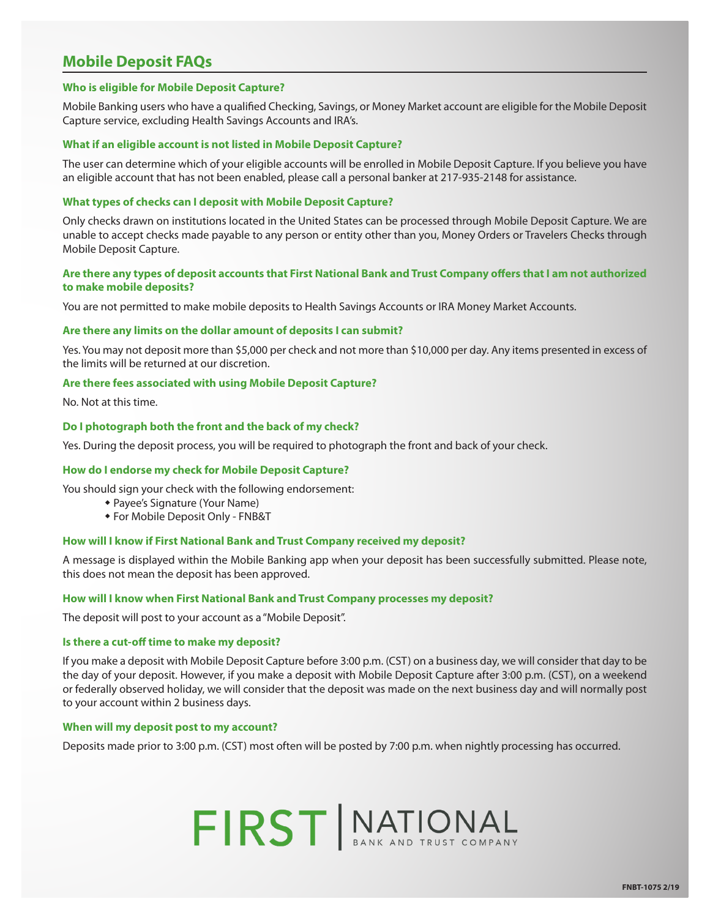# **Mobile Deposit FAQs**

## **Who is eligible for Mobile Deposit Capture?**

Mobile Banking users who have a qualified Checking, Savings, or Money Market account are eligible for the Mobile Deposit Capture service, excluding Health Savings Accounts and IRA's.

# **What if an eligible account is not listed in Mobile Deposit Capture?**

The user can determine which of your eligible accounts will be enrolled in Mobile Deposit Capture. If you believe you have an eligible account that has not been enabled, please call a personal banker at 217-935-2148 for assistance.

# **What types of checks can I deposit with Mobile Deposit Capture?**

Only checks drawn on institutions located in the United States can be processed through Mobile Deposit Capture. We are unable to accept checks made payable to any person or entity other than you, Money Orders or Travelers Checks through Mobile Deposit Capture.

# **Are there any types of deposit accounts that First National Bank and Trust Company offers that I am not authorized to make mobile deposits?**

You are not permitted to make mobile deposits to Health Savings Accounts or IRA Money Market Accounts.

### **Are there any limits on the dollar amount of deposits I can submit?**

Yes. You may not deposit more than \$5,000 per check and not more than \$10,000 per day. Any items presented in excess of the limits will be returned at our discretion.

# **Are there fees associated with using Mobile Deposit Capture?**

No. Not at this time.

# **Do I photograph both the front and the back of my check?**

Yes. During the deposit process, you will be required to photograph the front and back of your check.

### **How do I endorse my check for Mobile Deposit Capture?**

You should sign your check with the following endorsement:

- Payee's Signature (Your Name)
- **\* For Mobile Deposit Only FNB&T**

# **How will I know if First National Bank and Trust Company received my deposit?**

A message is displayed within the Mobile Banking app when your deposit has been successfully submitted. Please note, this does not mean the deposit has been approved.

# **How will I know when First National Bank and Trust Company processes my deposit?**

The deposit will post to your account as a "Mobile Deposit".

### **Is there a cut-off time to make my deposit?**

If you make a deposit with Mobile Deposit Capture before 3:00 p.m. (CST) on a business day, we will consider that day to be the day of your deposit. However, if you make a deposit with Mobile Deposit Capture after 3:00 p.m. (CST), on a weekend or federally observed holiday, we will consider that the deposit was made on the next business day and will normally post to your account within 2 business days.

#### **When will my deposit post to my account?**

Deposits made prior to 3:00 p.m. (CST) most often will be posted by 7:00 p.m. when nightly processing has occurred.

# FIRST MATIONAL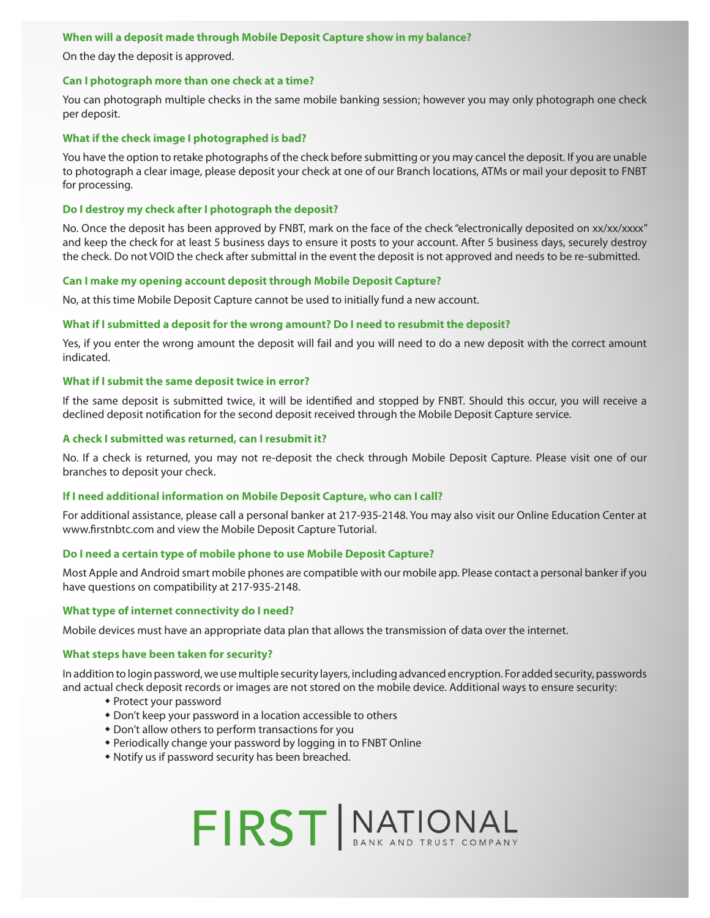# **When will a deposit made through Mobile Deposit Capture show in my balance?**

On the day the deposit is approved.

# **Can I photograph more than one check at a time?**

You can photograph multiple checks in the same mobile banking session; however you may only photograph one check per deposit.

# **What if the check image I photographed is bad?**

You have the option to retake photographs of the check before submitting or you may cancel the deposit. If you are unable to photograph a clear image, please deposit your check at one of our Branch locations, ATMs or mail your deposit to FNBT for processing.

# **Do I destroy my check after I photograph the deposit?**

No. Once the deposit has been approved by FNBT, mark on the face of the check "electronically deposited on xx/xx/xxxx" and keep the check for at least 5 business days to ensure it posts to your account. After 5 business days, securely destroy the check. Do not VOID the check after submittal in the event the deposit is not approved and needs to be re-submitted.

# **Can I make my opening account deposit through Mobile Deposit Capture?**

No, at this time Mobile Deposit Capture cannot be used to initially fund a new account.

# **What if I submitted a deposit for the wrong amount? Do I need to resubmit the deposit?**

Yes, if you enter the wrong amount the deposit will fail and you will need to do a new deposit with the correct amount indicated.

# **What if I submit the same deposit twice in error?**

If the same deposit is submitted twice, it will be identified and stopped by FNBT. Should this occur, you will receive a declined deposit notification for the second deposit received through the Mobile Deposit Capture service.

### **A check I submitted was returned, can I resubmit it?**

No. If a check is returned, you may not re-deposit the check through Mobile Deposit Capture. Please visit one of our branches to deposit your check.

### **If I need additional information on Mobile Deposit Capture, who can I call?**

For additional assistance, please call a personal banker at 217-935-2148. You may also visit our Online Education Center at www.firstnbtc.com and view the Mobile Deposit Capture Tutorial.

### **Do I need a certain type of mobile phone to use Mobile Deposit Capture?**

Most Apple and Android smart mobile phones are compatible with our mobile app. Please contact a personal banker if you have questions on compatibility at 217-935-2148.

### **What type of internet connectivity do I need?**

Mobile devices must have an appropriate data plan that allows the transmission of data over the internet.

### **What steps have been taken for security?**

In addition to login password, we use multiple security layers, including advanced encryption. For added security, passwords and actual check deposit records or images are not stored on the mobile device. Additional ways to ensure security:

- Protect your password
- \* Don't keep your password in a location accessible to others
- \* Don't allow others to perform transactions for you
- Periodically change your password by logging in to FNBT Online
- Notify us if password security has been breached.

# FIRST MATIONAL